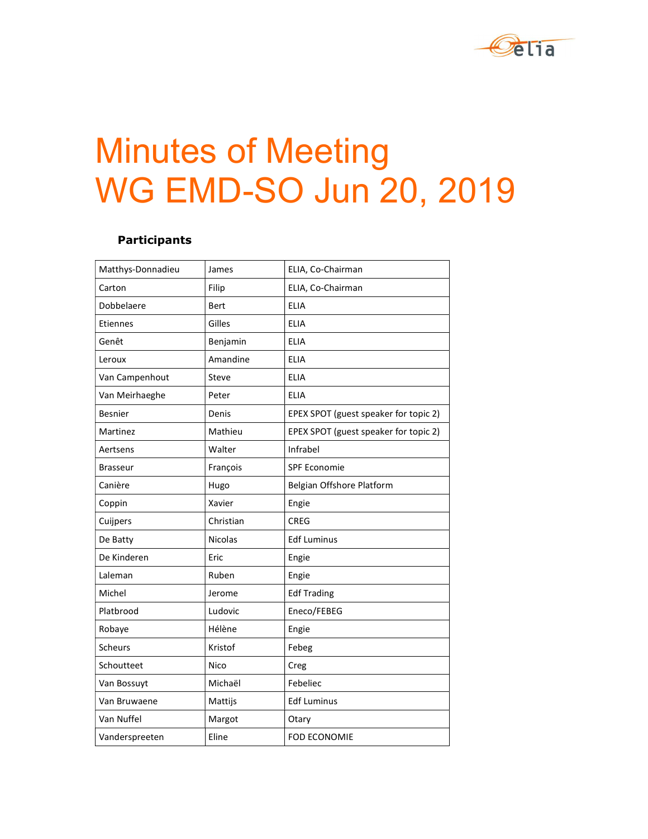

# Minutes of Meeting WG EMD-SO Jun 20, 2019

## Participants

| Matthys-Donnadieu | James       | ELIA, Co-Chairman                     |
|-------------------|-------------|---------------------------------------|
| Carton            | Filip       | ELIA, Co-Chairman                     |
| Dobbelaere        | <b>Bert</b> | <b>ELIA</b>                           |
| Etiennes          | Gilles      | <b>ELIA</b>                           |
| Genêt             | Benjamin    | <b>ELIA</b>                           |
| Leroux            | Amandine    | <b>ELIA</b>                           |
| Van Campenhout    | Steve       | <b>ELIA</b>                           |
| Van Meirhaeghe    | Peter       | <b>ELIA</b>                           |
| <b>Besnier</b>    | Denis       | EPEX SPOT (guest speaker for topic 2) |
| Martinez          | Mathieu     | EPEX SPOT (guest speaker for topic 2) |
| Aertsens          | Walter      | Infrabel                              |
| <b>Brasseur</b>   | François    | SPF Economie                          |
| Canière           | Hugo        | Belgian Offshore Platform             |
| Coppin            | Xavier      | Engie                                 |
| Cuijpers          | Christian   | <b>CREG</b>                           |
| De Batty          | Nicolas     | <b>Edf Luminus</b>                    |
| De Kinderen       | Eric        | Engie                                 |
| Laleman           | Ruben       | Engie                                 |
| Michel            | Jerome      | <b>Edf Trading</b>                    |
| Platbrood         | Ludovic     | Eneco/FEBEG                           |
| Robaye            | Hélène      | Engie                                 |
| Scheurs           | Kristof     | Febeg                                 |
| Schoutteet        | Nico        | Creg                                  |
| Van Bossuyt       | Michaël     | Febeliec                              |
| Van Bruwaene      | Mattijs     | <b>Edf Luminus</b>                    |
| Van Nuffel        | Margot      | Otary                                 |
| Vanderspreeten    | Eline       | <b>FOD ECONOMIE</b>                   |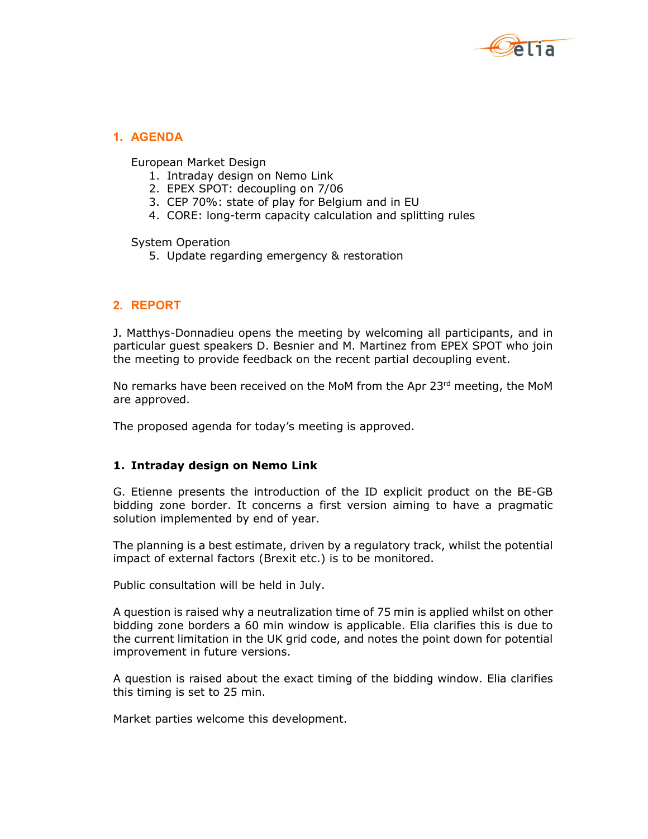

## 1. AGENDA

European Market Design

- 1. Intraday design on Nemo Link
- 2. EPEX SPOT: decoupling on 7/06
- 3. CEP 70%: state of play for Belgium and in EU
- 4. CORE: long-term capacity calculation and splitting rules

System Operation

5. Update regarding emergency & restoration

## 2. REPORT

J. Matthys-Donnadieu opens the meeting by welcoming all participants, and in particular guest speakers D. Besnier and M. Martinez from EPEX SPOT who join the meeting to provide feedback on the recent partial decoupling event.

No remarks have been received on the MoM from the Apr  $23<sup>rd</sup>$  meeting, the MoM are approved.

The proposed agenda for today's meeting is approved.

#### 1. Intraday design on Nemo Link

G. Etienne presents the introduction of the ID explicit product on the BE-GB bidding zone border. It concerns a first version aiming to have a pragmatic solution implemented by end of year.

The planning is a best estimate, driven by a regulatory track, whilst the potential impact of external factors (Brexit etc.) is to be monitored.

Public consultation will be held in July.

A question is raised why a neutralization time of 75 min is applied whilst on other bidding zone borders a 60 min window is applicable. Elia clarifies this is due to the current limitation in the UK grid code, and notes the point down for potential improvement in future versions.

A question is raised about the exact timing of the bidding window. Elia clarifies this timing is set to 25 min.

Market parties welcome this development.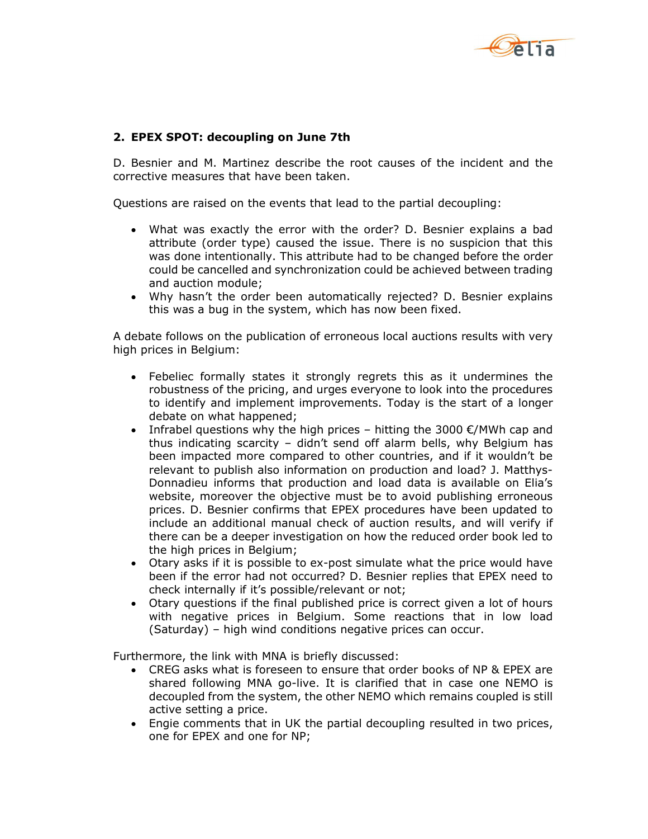

### 2. EPEX SPOT: decoupling on June 7th

D. Besnier and M. Martinez describe the root causes of the incident and the corrective measures that have been taken.

Questions are raised on the events that lead to the partial decoupling:

- What was exactly the error with the order? D. Besnier explains a bad attribute (order type) caused the issue. There is no suspicion that this was done intentionally. This attribute had to be changed before the order could be cancelled and synchronization could be achieved between trading and auction module;
- Why hasn't the order been automatically rejected? D. Besnier explains this was a bug in the system, which has now been fixed.

A debate follows on the publication of erroneous local auctions results with very high prices in Belgium:

- Febeliec formally states it strongly regrets this as it undermines the robustness of the pricing, and urges everyone to look into the procedures to identify and implement improvements. Today is the start of a longer debate on what happened;
- Infrabel questions why the high prices hitting the 3000  $\epsilon$ /MWh cap and thus indicating scarcity – didn't send off alarm bells, why Belgium has been impacted more compared to other countries, and if it wouldn't be relevant to publish also information on production and load? J. Matthys-Donnadieu informs that production and load data is available on Elia's website, moreover the objective must be to avoid publishing erroneous prices. D. Besnier confirms that EPEX procedures have been updated to include an additional manual check of auction results, and will verify if there can be a deeper investigation on how the reduced order book led to the high prices in Belgium;
- Otary asks if it is possible to ex-post simulate what the price would have been if the error had not occurred? D. Besnier replies that EPEX need to check internally if it's possible/relevant or not;
- Otary questions if the final published price is correct given a lot of hours with negative prices in Belgium. Some reactions that in low load (Saturday) – high wind conditions negative prices can occur.

Furthermore, the link with MNA is briefly discussed:

- CREG asks what is foreseen to ensure that order books of NP & EPEX are shared following MNA go-live. It is clarified that in case one NEMO is decoupled from the system, the other NEMO which remains coupled is still active setting a price.
- Engie comments that in UK the partial decoupling resulted in two prices, one for EPEX and one for NP;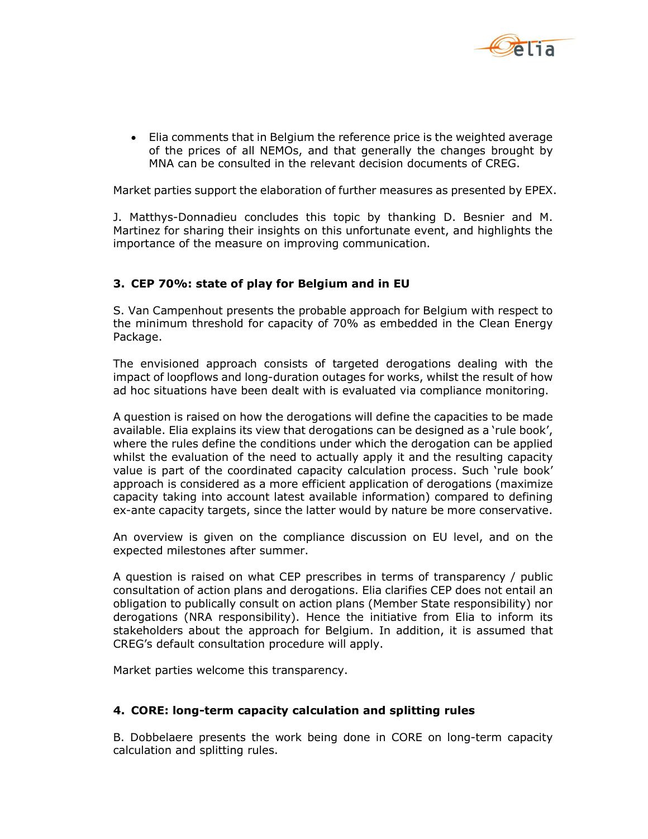

 Elia comments that in Belgium the reference price is the weighted average of the prices of all NEMOs, and that generally the changes brought by MNA can be consulted in the relevant decision documents of CREG.

Market parties support the elaboration of further measures as presented by EPEX.

J. Matthys-Donnadieu concludes this topic by thanking D. Besnier and M. Martinez for sharing their insights on this unfortunate event, and highlights the importance of the measure on improving communication.

#### 3. CEP 70%: state of play for Belgium and in EU

S. Van Campenhout presents the probable approach for Belgium with respect to the minimum threshold for capacity of 70% as embedded in the Clean Energy Package.

The envisioned approach consists of targeted derogations dealing with the impact of loopflows and long-duration outages for works, whilst the result of how ad hoc situations have been dealt with is evaluated via compliance monitoring.

A question is raised on how the derogations will define the capacities to be made available. Elia explains its view that derogations can be designed as a 'rule book', where the rules define the conditions under which the derogation can be applied whilst the evaluation of the need to actually apply it and the resulting capacity value is part of the coordinated capacity calculation process. Such 'rule book' approach is considered as a more efficient application of derogations (maximize capacity taking into account latest available information) compared to defining ex-ante capacity targets, since the latter would by nature be more conservative.

An overview is given on the compliance discussion on EU level, and on the expected milestones after summer.

A question is raised on what CEP prescribes in terms of transparency / public consultation of action plans and derogations. Elia clarifies CEP does not entail an obligation to publically consult on action plans (Member State responsibility) nor derogations (NRA responsibility). Hence the initiative from Elia to inform its stakeholders about the approach for Belgium. In addition, it is assumed that CREG's default consultation procedure will apply.

Market parties welcome this transparency.

#### 4. CORE: long-term capacity calculation and splitting rules

B. Dobbelaere presents the work being done in CORE on long-term capacity calculation and splitting rules.